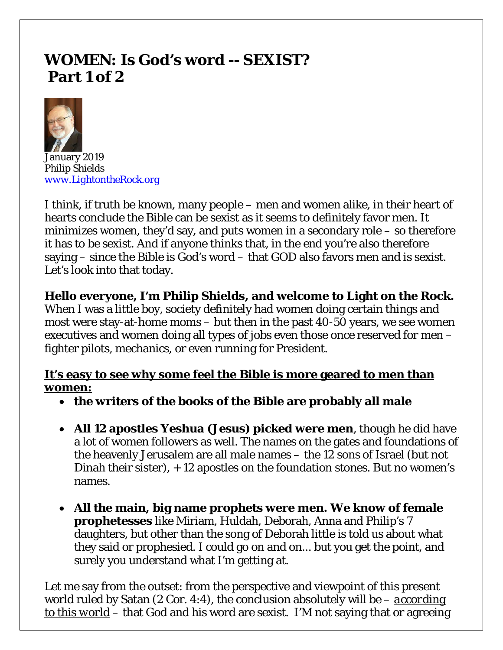# **WOMEN: Is God's word -- SEXIST? Part 1 of 2**



January 2019 *Philip Shields [www.LightontheRock.org](http://www.lightontherock.org/)*

I think, if truth be known, many people – men and women alike, in their heart of hearts conclude the Bible can be sexist as it seems to definitely favor men. It minimizes women, they'd say, and puts women in a secondary role – so therefore it has to be sexist. And if anyone thinks that, in the end you're also therefore saying – since the Bible is God's word – that GOD also favors men and is sexist. Let's look into that today.

## **Hello everyone, I'm Philip Shields, and welcome to Light on the Rock.**

When I was a little boy, society definitely had women doing certain things and most were stay-at-home moms – but then in the past 40-50 years, we see women executives and women doing all types of jobs even those once reserved for men – fighter pilots, mechanics, or even running for President.

## **It's easy to see why some feel the Bible is more geared to men than women:**

- **the writers of the books of the Bible are probably all male**
- **All 12 apostles Yeshua (Jesus) picked were men**, though he did have a lot of women followers as well. The names on the gates and foundations of the heavenly Jerusalem are all male names – the 12 sons of Israel (but not Dinah their sister), + 12 apostles on the foundation stones. But no women's names.
- **All the main, big name prophets were men. We know of female prophetesses** like Miriam, Huldah, Deborah, Anna and Philip's 7 daughters, but other than the song of Deborah little is told us about what they said or prophesied. I could go on and on... but you get the point, and surely you understand what I'm getting at.

Let me say from the outset: from the perspective and viewpoint of this present world ruled by Satan (2 Cor. 4:4), the conclusion absolutely will be – *according to this world* – that God and his word are sexist. I'M not saying that or agreeing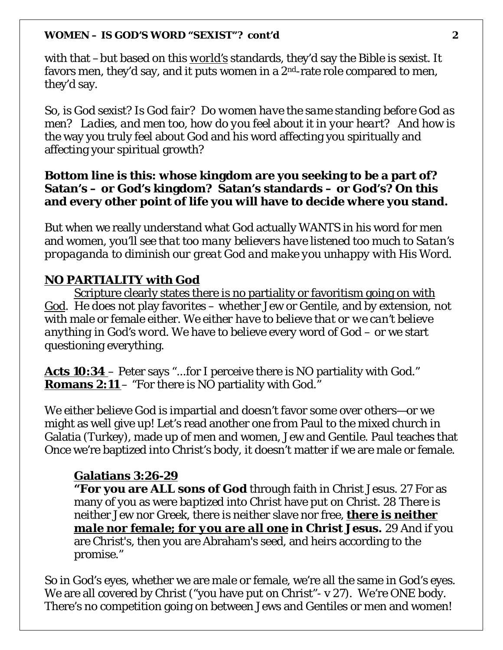with that –but based on this *world's* standards, they'd say the Bible is sexist. It favors men, they'd say, and it puts women in a  $2<sup>nd</sup>$ -rate role compared to men, they'd say.

*So, is God sexist? Is God fair? Do women have the same standing before God as men? Ladies, and men too, how do you feel about it in your heart?* And how is the way you truly feel about God and his word affecting you spiritually and affecting your spiritual growth?

### **Bottom line is this: whose kingdom are you seeking to be a part of? Satan's – or God's kingdom? Satan's standards – or God's? On this and every other point of life you will have to decide where you stand.**

But when we really understand what God actually WANTS in his word for men and women, you'll see *that too many believers have listened too much to Satan's propaganda to diminish our great God and make you unhappy with His Word.* 

## **NO PARTIALITY with God**

Scripture clearly states there is no partiality or favoritism going on with God. He does not play favorites – whether Jew or Gentile, and by extension, not with male or female either. *We either have to believe that or we can't believe anything in God's word.* We have to believe every word of God – or we start questioning everything.

**Acts 10:34** – Peter says "...for I perceive there is NO partiality with God." **Romans 2:11** – "For there is NO partiality with God."

We either believe God is impartial and doesn't favor some over others—or we might as well give up! Let's read another one from Paul to the mixed church in Galatia (Turkey), made up of men and women, Jew and Gentile. Paul teaches that Once we're baptized into Christ's body, it doesn't matter if we are male or female.

### **Galatians 3:26-29**

**"For you are ALL sons of God** through faith in Christ Jesus. 27 For as many of you as were *baptized into Christ* have put on Christ. 28 There is neither Jew nor Greek, there is neither slave nor free, *there is neither male nor female; for you are all one* **in Christ Jesus.** 29 And if you are Christ's, then you are Abraham's seed, and heirs according to the promise."

So in God's eyes, whether we are male or female, we're all the same in God's eyes. We are all covered by Christ ("you have put on Christ" - v 27). We're ONE body. There's no competition going on between Jews and Gentiles or men and women!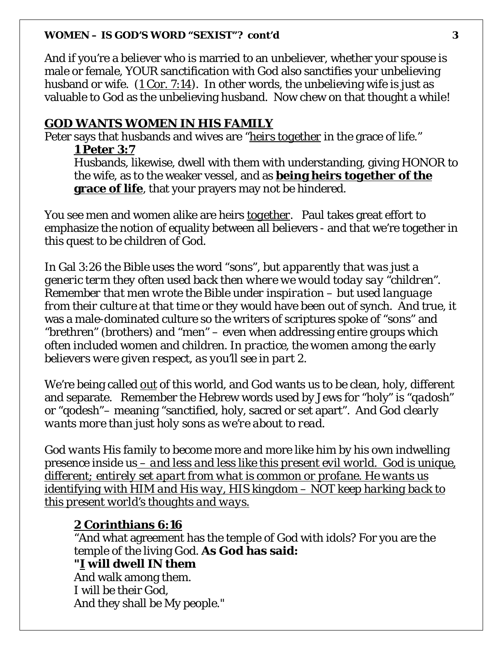And if you're a believer who is married to an unbeliever, whether your spouse is male or female, YOUR sanctification with God also sanctifies your unbelieving husband or wife. (1 Cor. 7:14). In other words, the unbelieving wife is just as valuable to God as the unbelieving husband. Now chew on that thought a while!

#### **GOD WANTS WOMEN IN HIS FAMILY**

Peter says that husbands and wives are "*heirs together* in the grace of life." **1 Peter 3:7** 

Husbands, likewise, dwell with them with understanding, giving HONOR to the wife, as to the weaker vessel, and as **being heirs** *together* **of the grace of life**, that your prayers may not be hindered.

You see men and women alike are heirs *together*. Paul takes great effort to emphasize the notion of equality between all believers - and that we're together in this quest to be children of God.

In Gal 3:26 the Bible uses the word "sons", *but apparently that was just a generic term they often used back then where we would today say "children". Remember that men wrote the Bible under inspiration – but used language from their culture at that time* or they would have been out of synch. And true, it was a male-dominated culture so the writers of scriptures spoke of "sons" and "brethren" (brothers) and "men" – even when addressing entire groups which often included women and children. *In practice, the women among the early believers were given respect, as you'll see in part 2.* 

We're being called *out* of this world, and God wants us to be clean, holy, different and separate. Remember the Hebrew words used by Jews for "holy" is "*qadosh*" or "qodesh"– meaning "sanctified, holy, sacred or set apart". *And God clearly wants more than just holy sons as we're about to read.*

*God wants His family to become* more and more like him by his own indwelling presence inside us *– and less and less like this present evil world. God is unique, different; entirely set apart from what is common or profane. He wants us identifying with HIM and His way, HIS kingdom – NOT keep harking back to this present world's thoughts and ways.*

#### **2 Corinthians 6:16**

"And what agreement has the temple of God with idols? For you are the temple of the living God. **As God has said:**

#### **"***I* **will dwell IN them**

And walk among them. I will be their God, And they shall be My people."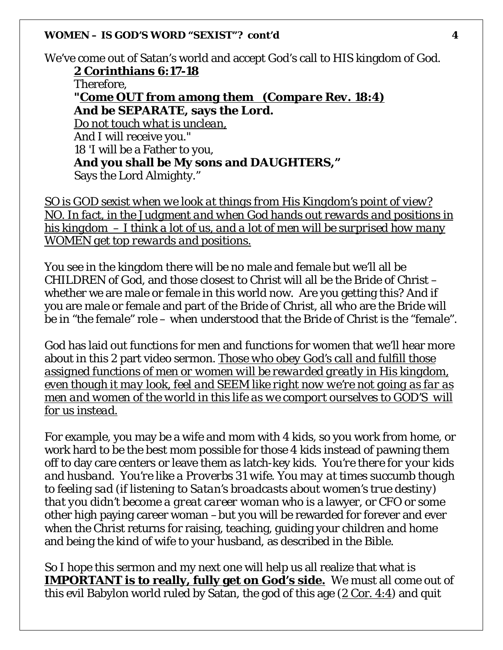We've come out of Satan's world and accept God's call to HIS kingdom of God. **2 Corinthians 6:17-18**  Therefore, **"***Come OUT from among them (Compare Rev. 18:4)* **And be** *SEPARATE***, says the Lord.** *Do not touch what is unclean,* And I will receive you." 18 'I will be a Father to you,

**And you shall be My sons and DAUGHTERS,"**

Says the Lord Almighty."

*SO is GOD sexist when we look at things from His Kingdom's point of view? NO. In fact, in the Judgment and when God hands out rewards and positions in his kingdom – I think a lot of us, and a lot of men will be surprised how many WOMEN get top rewards and positions.* 

You see in the kingdom there will be no male and female but we'll all be CHILDREN of God, and those closest to Christ will all be the Bride of Christ – whether we are male or female in this world now. Are you getting this? And if you are male or female and part of the Bride of Christ, all who are the Bride will be in "the female" role – when understood that the Bride of Christ is the "female".

God has laid out functions for men and functions for women that we'll hear more about in this 2 part video sermon. *Those who obey God's call and fulfill those assigned functions of men or women will be rewarded greatly in His kingdom, even though it may look, feel and SEEM like right now we're not going as far as men and women of the world in this life as we comport ourselves to GOD'S will for us instead.* 

For example, you may be a wife and mom with 4 kids, so you work from home, or work hard to be the best mom possible for those 4 kids instead of pawning them off to day care centers or leave them as latch-key kids*. You're there for your kids and husband. You're like a Proverbs 31 wife. You may at times succumb though to feeling sad (if listening to Satan's broadcasts about women's true destiny) that you didn't become a great career woman* who is a lawyer, or CFO or some other high paying career woman –but you will be rewarded for forever and ever when the Christ returns for raising, teaching, guiding your children and home and being the kind of wife to your husband, as described in the Bible.

So I hope this sermon and my next one will help us all realize that what is **IMPORTANT is to really, fully get on God's side.** We must all come out of this evil Babylon world ruled by Satan, the god of this age  $(2 \text{ Cor. } 4:4)$  and quit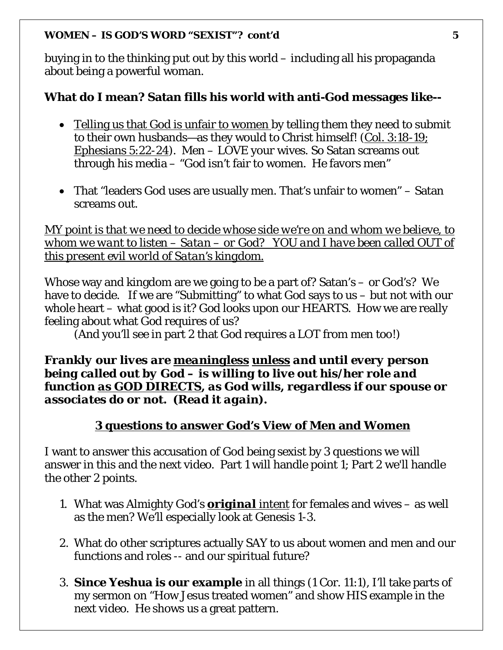buying in to the thinking put out by this world – including all his propaganda about being a powerful woman.

## **What do I mean? Satan fills his world with anti-God messages like--**

- Telling us that God is unfair to women by telling them they need to submit to their own husbands—as they would to Christ himself! (Col. 3:18-19; Ephesians 5:22-24). Men – LOVE your wives. So Satan screams out through his media – "God isn't fair to women. He favors men"
- That "leaders God uses are usually men. That's unfair to women" Satan screams out.

*MY point is that we need to decide whose side we're on and whom we believe, to whom we want to listen – Satan – or God? YOU and I have been called OUT of this present evil world of Satan's kingdom.* 

Whose way and kingdom are we going to be a part of? Satan's – or God's? We have to decide. If we are "Submitting" to what God says to us – but not with our whole heart – what good is it? God looks upon our HEARTS. How we are really feeling about what God requires of us?

(And you'll see in part 2 that God requires a LOT from men too!)

### *Frankly our lives are meaningless unless and until every person being called out by God – is willing to live out his/her role and function as GOD DIRECTS, as God wills, regardless if our spouse or associates do or not. (Read it again).*

## **3 questions to answer God's View of Men and Women**

I want to answer this accusation of God being sexist by 3 questions we will answer in this and the next video. Part 1 will handle point 1; Part 2 we'll handle the other 2 points.

- 1. What was Almighty God's *original intent* for females and wives as well as the men? We'll especially look at Genesis 1-3.
- 2. What do other scriptures actually SAY to us about women and men and our functions and roles -- and our spiritual future?
- 3. **Since Yeshua is our example** in all things (1 Cor. 11:1), I'll take parts of my sermon on "How Jesus treated women" and show HIS example in the next video. He shows us a great pattern.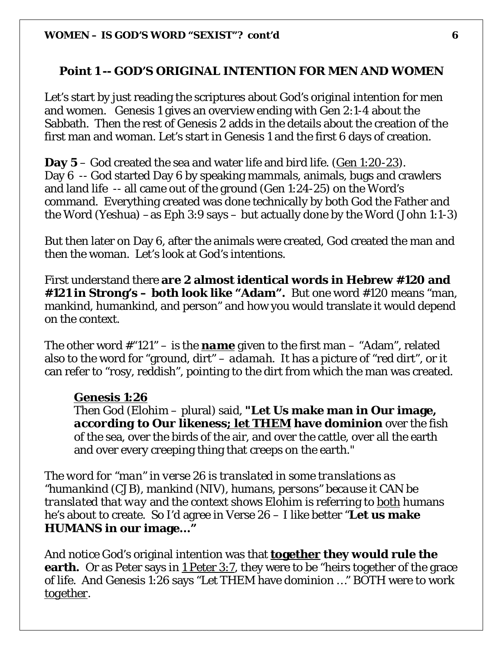## **Point 1 -- GOD'S ORIGINAL INTENTION FOR MEN AND WOMEN**

Let's start by just reading the scriptures about God's original intention for men and women. Genesis 1 gives an overview ending with Gen 2:1-4 about the Sabbath. Then the rest of Genesis 2 adds in the details about the creation of the first man and woman. Let's start in Genesis 1 and the first 6 days of creation.

**Day 5** – God created the sea and water life and bird life. (Gen 1:20-23). Day 6 -- God started Day 6 by speaking mammals, animals, bugs and crawlers and land life -- all came out of the ground (Gen 1:24-25) on the Word's command. Everything created was done technically by both God the Father and the Word (Yeshua) –as Eph 3:9 says – but actually done by the Word (John 1:1-3)

But then later on Day 6, after the animals were created, God created the man and then the woman. Let's look at God's intentions.

First understand there **are 2 almost identical words in Hebrew #120 and #121 in Strong's – both look like "Adam".** But one word #120 means "man, mankind, humankind, and person" and how you would translate it would depend on the context.

The other word #"121" – is the *name* given to the first man – "Adam", related also to the word for "ground, dirt" – *adamah*. It has a picture of "red dirt", or it can refer to "rosy, reddish", pointing to the dirt from which the man was created.

#### **Genesis 1:26**

Then God (Elohim – plural) said, **"Let Us make man in Our image,**  *according to Our likeness; let THEM* **have dominion** over the fish of the sea, over the birds of the air, and over the cattle, over all the earth and over every creeping thing that creeps on the earth."

*The word for "man" in verse 26 is translated in some translations as "humankind (CJB), mankind (NIV), humans, persons" because it CAN be translated that way* and the context shows Elohim is referring to both humans he's about to create. So I'd agree in Verse 26 – I like better "**Let us make HUMANS in our image…"**

And notice God's original intention was that **together they would rule the earth.** Or as Peter says in 1 Peter 3:7, they were to be "heirs together of the grace of life. And Genesis 1:26 says "Let THEM have dominion …" BOTH were to work *together*.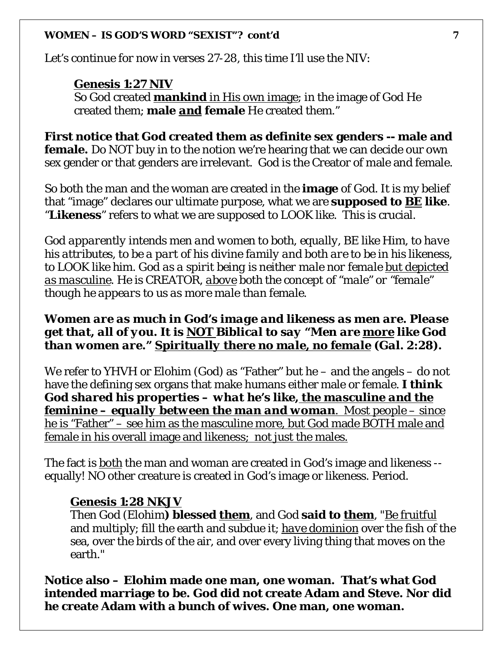Let's continue for now in verses 27-28, this time I'll use the NIV:

#### **Genesis 1:27 NIV**

So God created **mankind** in His own image; in the image of God He created them; **male** *and* **female** He created them."

**First notice that God created them as definite sex genders -- male and female.** Do NOT buy in to the notion we're hearing that we can decide our own sex gender or that genders are irrelevant. God is the Creator of male and female.

So both the man and the woman are created in the **image** of God. It is my belief that "image" declares our ultimate purpose, what we are **supposed to** *BE* **like**. "**Likeness**" refers to what we are supposed to LOOK like. This is crucial.

*God apparently intends men and women to both, equally, BE like Him, to have his attributes, to be a part of his divine family and both are to be in his likeness, to LOOK like him. God as a spirit being is neither male nor female but depicted as masculine. He is CREATOR, above both the concept of "male" or "female" though he appears to us as more male than female.* 

### *Women are as much in God's image and likeness as men are. Please get that, all of you. It is NOT Biblical to say "Men are more like God than women are." Spiritually there no male, no female (Gal. 2:28).*

We refer to YHVH or Elohim (God) as "Father" but he – and the angels – do not have the defining sex organs that make humans either male or female. *I think God shared his properties – what he's like, the masculine and the feminine – equally between the man and woman*. Most people – since he is "Father" – see him as the masculine more, but God made BOTH male and female in his overall image and likeness; not just the males.

The fact is *both* the man and woman are created in God's image and likeness - equally! NO other creature is created in God's image or likeness. Period.

### **Genesis 1:28 NKJV**

Then God (Elohim**) blessed** *them*, and God **said to** *them*, "Be fruitful and multiply; fill the earth and subdue it; *have dominion* over the fish of the sea, over the birds of the air, and over every living thing that moves on the earth."

**Notice also – Elohim made one man, one woman. That's what God intended marriage to be. God did not create Adam and Steve. Nor did he create Adam with a bunch of wives. One man, one woman.**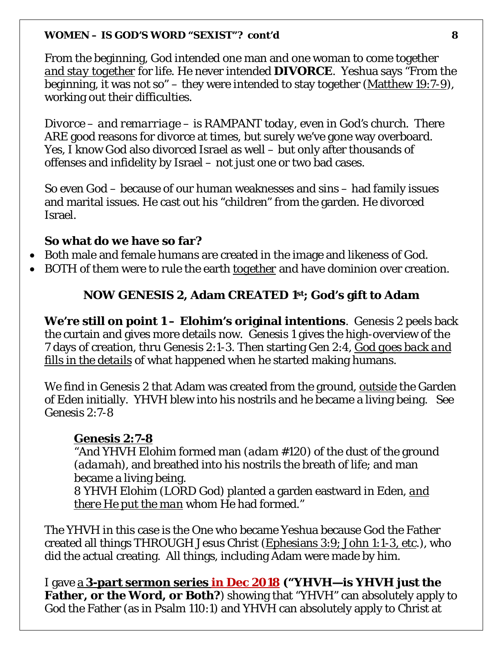From the beginning, God intended one man and one woman to come together *and stay together* for life. He never intended **DIVORCE**. Yeshua says "From the beginning, it was not so" – they were intended to stay together (Matthew 19:7-9), working out their difficulties.

*Divorce – and remarriage – is RAMPANT today, even in God's church*. There ARE good reasons for divorce at times, but surely we've gone way overboard. Yes, I know God also divorced Israel as well – but only after thousands of offenses and infidelity by Israel – not just one or two bad cases.

So even God – because of our human weaknesses and sins – had family issues and marital issues. He cast out his "children" from the garden. He divorced Israel.

## **So what do we have so far?**

- Both male and female humans are created in the image and likeness of God.
- BOTH of them were to rule the earth *together* and have dominion over creation.

## **NOW GENESIS 2, Adam CREATED 1st; God's gift to Adam**

**We're still on point 1 – Elohim's original intentions**. Genesis 2 peels back the curtain and gives more details now. Genesis 1 gives the high-overview of the 7 days of creation, thru Genesis 2:1-3. Then starting Gen 2:4, *God goes back and fills in the details* of what happened when he started making humans.

We find in Genesis 2 that Adam was created from the ground, *outside* the Garden of Eden initially. YHVH blew into his nostrils and he became a living being. See Genesis 2:7-8

## **Genesis 2:7-8**

"And YHVH Elohim formed man (*adam* #120) of the dust of the ground (*adamah*), and breathed into his nostrils the breath of life; and man became a living being.

8 YHVH Elohim (LORD God) planted a garden eastward in Eden, *and there He put the man* whom He had formed."

The YHVH in this case is the One who became Yeshua because God the Father created all things THROUGH Jesus Christ (Ephesians 3:9; John 1:1-3, etc.), who did the actual creating. All things, including Adam were made by him.

I gave a **3-part sermon series in Dec 2018 ("YHVH—is YHVH just the Father, or the Word, or Both?**) showing that "YHVH" can absolutely apply to God the Father (as in Psalm 110:1) and YHVH can absolutely apply to Christ at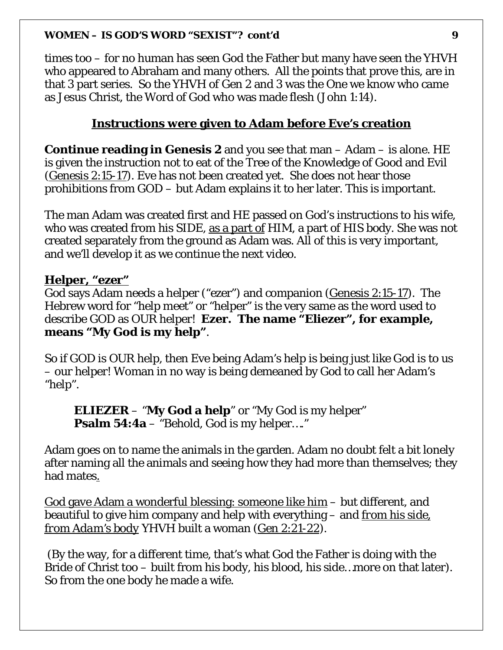times too – for no human has seen God the Father but many have seen the YHVH who appeared to Abraham and many others. All the points that prove this, are in that 3 part series. So the YHVH of Gen 2 and 3 was the One we know who came as Jesus Christ, the Word of God who was made flesh (John 1:14).

## **Instructions were given to Adam before Eve's creation**

**Continue reading in Genesis 2** and you see that man – Adam – is alone. HE is given the instruction not to eat of the Tree of the Knowledge of Good and Evil (Genesis 2:15-17). Eve has not been created yet. She does not hear those prohibitions from GOD – but Adam explains it to her later. This is important.

The man Adam was created first and HE passed on God's instructions to his wife, who was created from his SIDE, <u>as a part of</u> HIM, a part of HIS body. She was not created separately from the ground as Adam was. All of this is very important, and we'll develop it as we continue the next video.

### **Helper, "***ezer***"**

God says Adam needs a helper ("ezer") and companion (Genesis 2:15-17). The Hebrew word for "help meet" or "helper" is the very same as the word used to describe GOD as OUR helper! **Ezer. The name "Eliezer", for example, means "My God is my help"**.

So if GOD is OUR help, then Eve being Adam's help is being just like God is to us – our helper! Woman in no way is being demeaned by God to call her Adam's "help".

**ELIEZER** – "**My God a help**" or "My God is my helper" **Psalm 54:4a** – "Behold, God is my helper...."

Adam goes on to name the animals in the garden. Adam no doubt felt a bit lonely after naming all the animals and seeing how they had more than themselves; they had mates.

God gave Adam a wonderful blessing: someone like him – but different, and beautiful to give him company and help with everything – and *from his side, from Adam's body* YHVH built a woman (Gen 2:21-22).

(By the way, for a different time, that's what God the Father is doing with the Bride of Christ too – built from his body, his blood, his side…more on that later). So from the one body he made a wife.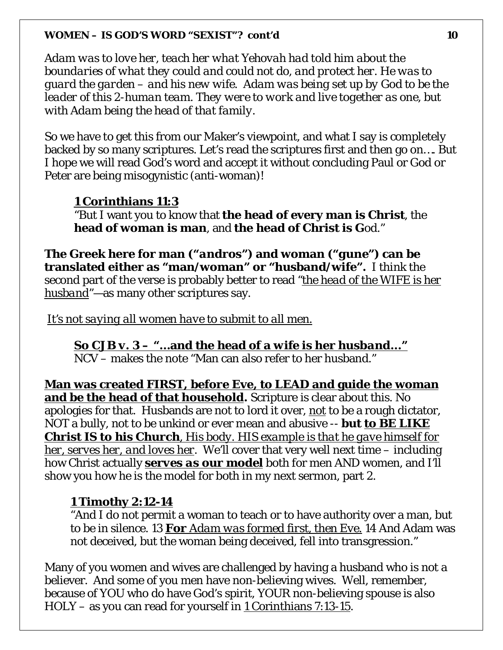*Adam was to love her, teach her what Yehovah had told him about the boundaries of what they could and could not do, and protect her. He was to guard the garden – and his new wife. Adam was being set up by God to be the leader of this 2-human team. They were to work and live together as one, but with Adam being the head of that family.* 

So we have to get this from our Maker's viewpoint, and what I say is completely backed by so many scriptures. Let's read the scriptures first and then go on…. But I hope we will read God's word and accept it without concluding Paul or God or Peter are being misogynistic (anti-woman)!

### **1 Corinthians 11:3**

"But I want you to know that **the head of every man is Christ**, the **head of woman is man**, and **the head of Christ is G**od."

**The Greek here for man ("***andros***") and woman ("***gune***") can be translated either as "man/woman" or "husband/wife".** I think the second part of the verse is probably better to read *"the head of the WIFE is her husband"—*as many other scriptures say.

*It's not saying all women have to submit to all men.*

*So CJB v. 3 – "…***and the head of a** *wife* **is her** *husband..."*  NCV – makes the note "Man can also refer to her husband."

**Man was created FIRST, before Eve, to LEAD and guide the woman and be the head of that household.** Scripture is clear about this. No apologies for that. Husbands are not to lord it over, *not* to be a rough dictator, NOT a bully, not to be unkind or ever mean and abusive -- **but** *to BE LIKE Christ IS to his Church, His body. HIS example is that he gave himself for her, serves her, and loves her*. We'll cover that very well next time – including how Christ actually *serves as our model* both for men AND women, and I'll show you how he is the model for both in my next sermon, part 2.

#### **1 Timothy 2:12-14**

"And I do not permit a woman to teach or to have authority over a man, but to be in silence. 13 *For Adam was formed first, then Eve.* 14 And Adam was not deceived, but the woman being deceived, fell into transgression."

Many of you women and wives are challenged by having a husband who is not a believer. And some of you men have non-believing wives. Well, remember, because of YOU who do have God's spirit, YOUR non-believing spouse is also HOLY – as you can read for yourself in 1 Corinthians 7:13-15.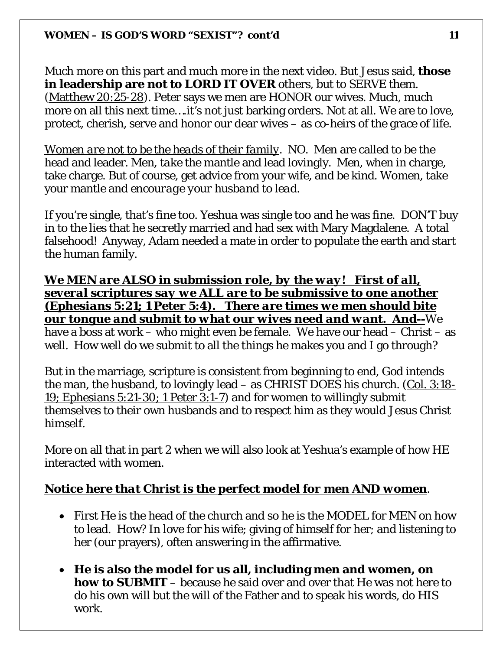Much more on this part and much more in the next video. But Jesus said, **those in leadership are not to LORD IT OVER** others, but to SERVE them. (Matthew 20:25-28). Peter says we men are HONOR our wives. Much, much more on all this next time….it's not just barking orders. Not at all. We are to love, protect, cherish, serve and honor our dear wives – as co-heirs of the grace of life.

*Women are not to be the heads of their family*. NO. Men are called to be the head and leader. Men, *take* the mantle and lead lovingly. Men, when in charge, take charge. But of course, get advice from your wife, and be kind. Women, take your mantle and *encourage your husband to lead*.

If you're single, that's fine too. Yeshua was single too and he was fine. DON'T buy in to the lies that he secretly married and had sex with Mary Magdalene. A total falsehood! Anyway, Adam needed a mate in order to populate the earth and start the human family.

*We MEN are ALSO in submission role, by the way! First of all, several scriptures say we ALL are to be submissive to one another (Ephesians 5:21; 1 Peter 5:4). There are times we men should bite our tongue and submit to what our wives need and want. And--*We have a boss at work – who might even be female. We have our head – Christ – as well. How well do we submit to all the things he makes you and I go through?

But in the marriage, scripture is consistent from beginning to end, God intends the man, the husband, to lovingly lead – as CHRIST DOES his church. (Col. 3:18- 19; Ephesians 5:21-30; 1 Peter 3:1-7) and for women to willingly submit themselves to their own husbands and to respect him as they would Jesus Christ himself.

More on all that in part 2 when we will also look at Yeshua's example of how HE interacted with women.

## *Notice here that Christ is the perfect model for men AND women*.

- First He is the head of the church and so he is the MODEL for MEN on how to lead. How? In love for his wife; giving of himself for her; and listening to her (our prayers), often answering in the affirmative.
- **He is also the model for us all, including men and women, on how to SUBMIT** – because he said over and over that He was not here to do his own will but the will of the Father and to speak his words, do HIS work.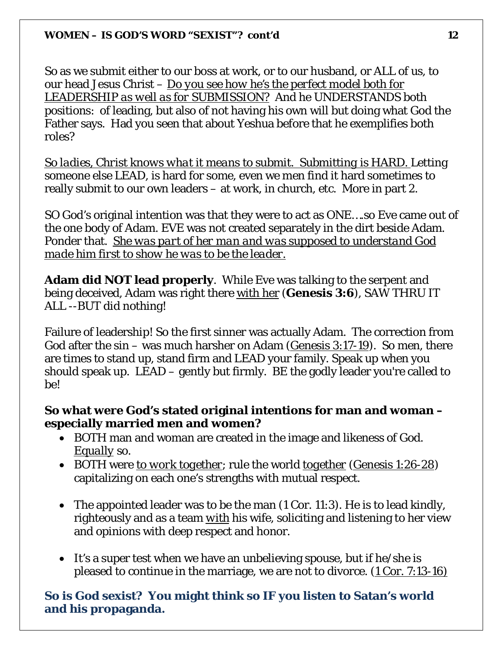So as we submit either to our boss at work, or to our husband, or ALL of us, to our head Jesus Christ – *Do you see how he's the perfect model both for LEADERSHIP as well as for SUBMISSION?* And he UNDERSTANDS both positions: of leading, but also of not having his own will but doing what God the Father says. Had you seen that about Yeshua before that he exemplifies both roles?

*So ladies, Christ knows what it means to submit. Submitting is HARD.* Letting someone else LEAD, is hard for some, even we men find it hard sometimes to really submit to our own leaders – at work, in church, etc. More in part 2.

SO God's original intention was that they were to act as ONE….so Eve came out of the one body of Adam. EVE was not created separately in the dirt beside Adam. Ponder that. *She was part of her man and was supposed to understand God made him first to show he was to be the leader.* 

**Adam did NOT lead properly**. While Eve was talking to the serpent and being deceived, Adam was right there with her (**Genesis 3:6**), SAW THRU IT ALL --BUT did nothing!

Failure of leadership! So the first sinner was actually Adam. The correction from God after the sin – was much harsher on Adam (Genesis 3:17-19). So men, there are times to stand up, stand firm and LEAD your family. Speak up when you should speak up. LEAD – gently but firmly. BE the godly leader you're called to be!

## **So what were God's stated original intentions for man and woman – especially married men and women?**

- BOTH man and woman are created in the image and likeness of God. *Equally* so.
- BOTH were *to work together*; rule the world *together* (Genesis 1:26-28) capitalizing on each one's strengths with mutual respect.
- The appointed leader was to be the man (1 Cor. 11:3). He is to lead kindly, righteously and as a team *with* his wife, soliciting and listening to her view and opinions with deep respect and honor.
- It's a super test when we have an unbelieving spouse, but if he/she is pleased to continue in the marriage, we are not to divorce. (1 Cor. 7:13-16)

## **So is God sexist? You might think so IF you listen to Satan's world and his propaganda.**